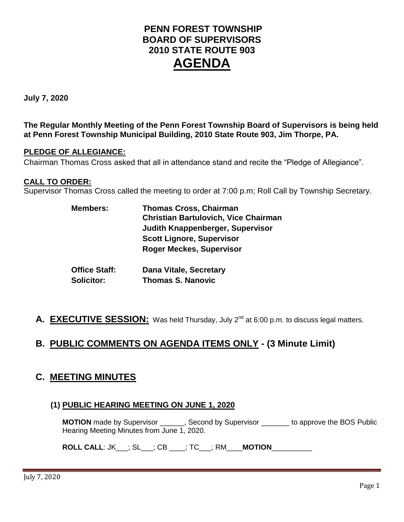# **PENN FOREST TOWNSHIP BOARD OF SUPERVISORS 2010 STATE ROUTE 903 AGENDA**

**July 7, 2020**

**The Regular Monthly Meeting of the Penn Forest Township Board of Supervisors is being held at Penn Forest Township Municipal Building, 2010 State Route 903, Jim Thorpe, PA.** 

### **PLEDGE OF ALLEGIANCE:**

Chairman Thomas Cross asked that all in attendance stand and recite the "Pledge of Allegiance".

### **CALL TO ORDER:**

Supervisor Thomas Cross called the meeting to order at 7:00 p.m; Roll Call by Township Secretary.

| <b>Members:</b>      | <b>Thomas Cross, Chairman</b><br><b>Christian Bartulovich, Vice Chairman</b> |
|----------------------|------------------------------------------------------------------------------|
|                      | <b>Judith Knappenberger, Supervisor</b>                                      |
|                      | <b>Scott Lignore, Supervisor</b>                                             |
|                      | <b>Roger Meckes, Supervisor</b>                                              |
| <b>Office Staff:</b> | <b>Dana Vitale, Secretary</b>                                                |
| <b>Solicitor:</b>    | <b>Thomas S. Nanovic</b>                                                     |

A. **EXECUTIVE SESSION:** Was held Thursday, July 2<sup>nd</sup> at 6:00 p.m. to discuss legal matters.

# **B. PUBLIC COMMENTS ON AGENDA ITEMS ONLY - (3 Minute Limit)**

## **C. MEETING MINUTES**

## **(1) PUBLIC HEARING MEETING ON JUNE 1, 2020**

**MOTION** made by Supervisor **and Supervisor** second by Supervisor to approve the BOS Public Hearing Meeting Minutes from June 1, 2020.

**ROLL CALL**: JK\_\_\_; SL\_\_\_; CB \_\_\_\_; TC\_\_\_; RM\_\_\_\_**MOTION**\_\_\_\_\_\_\_\_\_\_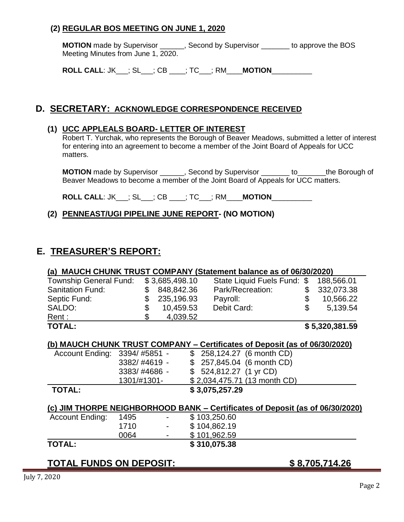## **(2) REGULAR BOS MEETING ON JUNE 1, 2020**

**MOTION** made by Supervisor \_\_\_\_\_\_, Second by Supervisor \_\_\_\_\_\_\_ to approve the BOS Meeting Minutes from June 1, 2020.

**ROLL CALL**: JK\_\_\_; SL\_\_\_; CB \_\_\_\_; TC\_\_\_; RM\_\_\_\_**MOTION**\_\_\_\_\_\_\_\_\_\_

## **D. SECRETARY: ACKNOWLEDGE CORRESPONDENCE RECEIVED**

#### **(1) UCC APPLEALS BOARD- LETTER OF INTEREST**

Robert T. Yurchak, who represents the Borough of Beaver Meadows, submitted a letter of interest for entering into an agreement to become a member of the Joint Board of Appeals for UCC matters.

**MOTION** made by Supervisor \_\_\_\_\_\_, Second by Supervisor \_\_\_\_\_\_\_ to\_\_\_\_\_\_\_the Borough of Beaver Meadows to become a member of the Joint Board of Appeals for UCC matters.

**ROLL CALL**: JK\_\_\_; SL\_\_\_; CB \_\_\_\_; TC\_\_\_; RM\_\_\_\_**MOTION**\_\_\_\_\_\_\_\_\_\_

## **(2) PENNEAST/UGI PIPELINE JUNE REPORT- (NO MOTION)**

# **E. TREASURER'S REPORT:**

#### **(a) MAUCH CHUNK TRUST COMPANY (Statement balance as of 06/30/2020)** \_\_\_\_\_\_\_

| <b>Township General Fund:</b><br>State Liquid Fuels Fund: \$<br>848,842.36<br>Park/Recreation:<br><b>Sanitation Fund:</b><br>$\mathbb{S}$<br>235,196.93<br>Septic Fund:<br>Payroll:<br>SALDO:<br>Debit Card:<br>10,459.53<br>$\mathcal{S}$<br>4,039.52<br>Rent : |                | \$5,320,381.59 |            |
|------------------------------------------------------------------------------------------------------------------------------------------------------------------------------------------------------------------------------------------------------------------|----------------|----------------|------------|
|                                                                                                                                                                                                                                                                  |                |                |            |
|                                                                                                                                                                                                                                                                  |                |                | 5.139.54   |
|                                                                                                                                                                                                                                                                  |                |                | 10,566.22  |
|                                                                                                                                                                                                                                                                  |                |                | 332,073.38 |
|                                                                                                                                                                                                                                                                  | \$3,685,498.10 |                | 188,566.01 |

#### **(b) MAUCH CHUNK TRUST COMPANY – Certificates of Deposit (as of 06/30/2020)**

| Account Ending: 3394/#5851 - |              | \$ 258,124.27 (6 month CD)   |
|------------------------------|--------------|------------------------------|
|                              | 3382/#4619 - | $$257,845.04$ (6 month CD)   |
|                              | 3383/#4686 - | $$524,812.27$ (1 yr CD)      |
|                              | 1301/#1301-  | \$2,034,475.71 (13 month CD) |
| <b>TOTAL:</b>                |              | \$3,075,257.29               |

## **(c) JIM THORPE NEIGHBORHOOD BANK – Certificates of Deposit (as of 06/30/2020)**

| <b>TOTAL:</b>          |      |                          | \$310,075.38 |
|------------------------|------|--------------------------|--------------|
|                        | 0064 | $\overline{\phantom{0}}$ | \$101,962.59 |
|                        | 1710 | $\blacksquare$           | \$104,862.19 |
| <b>Account Ending:</b> | 1495 | $\overline{\phantom{0}}$ | \$103,250.60 |

## **TOTAL FUNDS ON DEPOSIT: \$ 8,705,714.26**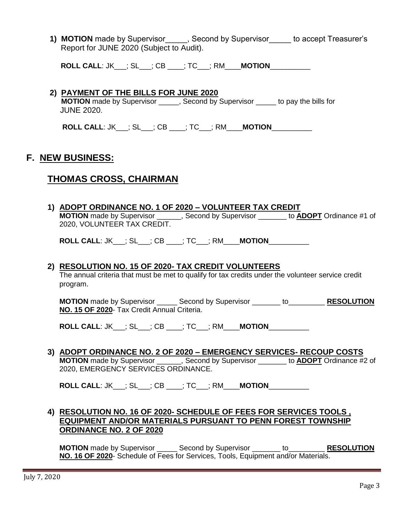1) **MOTION** made by Supervisor , Second by Supervisor to accept Treasurer's Report for JUNE 2020 (Subject to Audit).

**ROLL CALL**: JK\_\_\_; SL\_\_\_; CB \_\_\_\_; TC\_\_\_; RM\_\_\_\_**MOTION**\_\_\_\_\_\_\_\_\_\_

#### **2) PAYMENT OF THE BILLS FOR JUNE 2020**

**MOTION** made by Supervisor \_\_\_\_\_, Second by Supervisor \_\_\_\_\_ to pay the bills for JUNE 2020.

**ROLL CALL**: JK\_\_\_; SL\_\_\_; CB \_\_\_\_; TC\_\_\_; RM\_\_\_\_**MOTION**\_\_\_\_\_\_\_\_\_\_

# **F. NEW BUSINESS:**

## **THOMAS CROSS, CHAIRMAN**

| 1) ADOPT ORDINANCE NO. 1 OF 2020 - VOLUNTEER TAX CREDIT                                               |
|-------------------------------------------------------------------------------------------------------|
| <b>MOTION</b> made by Supervisor ______, Second by Supervisor _______ to <b>ADOPT</b> Ordinance #1 of |
| 2020, VOLUNTEER TAX CREDIT.                                                                           |
|                                                                                                       |
| <b>ROLL CALL: JK__; SL__; CB ___; TC__; RM___MOTION__________</b>                                     |
|                                                                                                       |
| 2) RESOLUTION NO. 15 OF 2020- TAX CREDIT VOLUNTEERS                                                   |
| The annual criteria that must be met to qualify for tax credits under the volunteer service credit    |
| program.                                                                                              |
|                                                                                                       |
| <b>MOTION</b> made by Supervisor _______ Second by Supervisor ________ to____________ RESOLUTION      |
| NO. 15 OF 2020- Tax Credit Annual Criteria.                                                           |
|                                                                                                       |
| <b>ROLL CALL: JK__; SL__; CB ___; TC__; RM___MOTION__________</b>                                     |
|                                                                                                       |
| 3) ADOPT ORDINANCE NO. 2 OF 2020 - EMERGENCY SERVICES- RECOUP COSTS                                   |
| <b>MOTION</b> made by Supervisor ______, Second by Supervisor ______ to <b>ADOPT</b> Ordinance #2 of  |
| 2020, EMERGENCY SERVICES ORDINANCE.                                                                   |
|                                                                                                       |
| <b>ROLL CALL: JK___; SL___; CB ____; TC___; RM____MOTION__________</b>                                |
|                                                                                                       |
| 4) RESOLUTION NO. 16 OF 2020- SCHEDULE OF FEES FOR SERVICES TOOLS,                                    |
| <b>EQUIPMENT AND/OR MATERIALS PURSUANT TO PENN FOREST TOWNSHIP</b>                                    |
| <b>ORDINANCE NO. 2 OF 2020</b>                                                                        |
|                                                                                                       |

**MOTION** made by Supervisor \_\_\_\_\_ Second by Supervisor \_\_\_\_\_\_\_ to\_\_\_\_\_\_\_\_\_ **RESOLUTION NO. 16 OF 2020**- Schedule of Fees for Services, Tools, Equipment and/or Materials.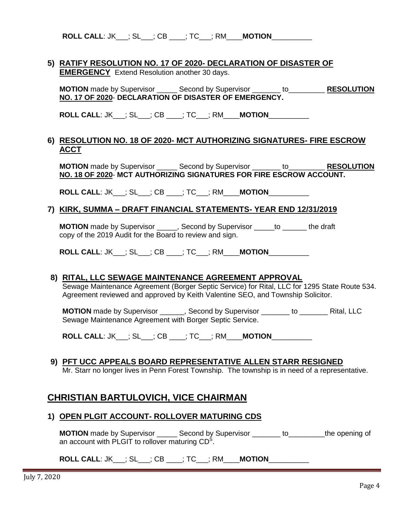**ROLL CALL**: JK\_\_\_; SL\_\_\_; CB \_\_\_\_; TC\_\_\_; RM\_\_\_\_**MOTION**\_\_\_\_\_\_\_\_\_\_

#### **5) RATIFY RESOLUTION NO. 17 OF 2020- DECLARATION OF DISASTER OF EMERGENCY** Extend Resolution another 30 days.

**MOTION** made by Supervisor \_\_\_\_\_ Second by Supervisor \_\_\_\_\_\_\_ to\_\_\_\_\_\_\_\_\_ **RESOLUTION NO. 17 OF 2020**- **DECLARATION OF DISASTER OF EMERGENCY.**

**ROLL CALL**: JK\_\_\_; SL\_\_\_; CB \_\_\_\_; TC\_\_\_; RM\_\_\_\_**MOTION**\_\_\_\_\_\_\_\_\_\_

#### **6) RESOLUTION NO. 18 OF 2020- MCT AUTHORIZING SIGNATURES- FIRE ESCROW ACCT**

**MOTION** made by Supervisor \_\_\_\_\_ Second by Supervisor \_\_\_\_\_\_\_ to\_\_\_\_\_\_\_\_\_ **RESOLUTION NO. 18 OF 2020**- **MCT AUTHORIZING SIGNATURES FOR FIRE ESCROW ACCOUNT.**

**ROLL CALL**: JK\_\_\_; SL\_\_\_; CB \_\_\_\_; TC\_\_\_; RM\_\_\_\_**MOTION**\_\_\_\_\_\_\_\_\_\_

#### **7) KIRK, SUMMA – DRAFT FINANCIAL STATEMENTS- YEAR END 12/31/2019**

**MOTION** made by Supervisor \_\_\_\_\_, Second by Supervisor \_\_\_\_\_to \_\_\_\_\_\_the draft copy of the 2019 Audit for the Board to review and sign.

**ROLL CALL**: JK\_\_\_; SL\_\_\_; CB \_\_\_\_; TC\_\_\_; RM\_\_\_\_**MOTION**\_\_\_\_\_\_\_\_\_\_

#### **8) RITAL, LLC SEWAGE MAINTENANCE AGREEMENT APPROVAL**

Sewage Maintenance Agreement (Borger Septic Service) for Rital, LLC for 1295 State Route 534. Agreement reviewed and approved by Keith Valentine SEO, and Township Solicitor.

**MOTION** made by Supervisor \_\_\_\_\_\_, Second by Supervisor \_\_\_\_\_\_\_ to \_\_\_\_\_\_\_ Rital, LLC Sewage Maintenance Agreement with Borger Septic Service.

**ROLL CALL**: JK\_\_\_; SL\_\_\_; CB \_\_\_\_; TC\_\_\_; RM\_\_\_\_**MOTION**\_\_\_\_\_\_\_\_\_\_

#### **9) PFT UCC APPEALS BOARD REPRESENTATIVE ALLEN STARR RESIGNED**

Mr. Starr no longer lives in Penn Forest Township. The township is in need of a representative.

# **CHRISTIAN BARTULOVICH, VICE CHAIRMAN**

#### **1) OPEN PLGIT ACCOUNT- ROLLOVER MATURING CDS**

**MOTION** made by Supervisor \_\_\_\_\_ Second by Supervisor \_\_\_\_\_\_\_ to\_\_\_\_\_\_\_\_\_the opening of an account with PLGIT to rollover maturing  $CD<sup>S</sup>$ .

# **ROLL CALL**: JK\_\_\_; SL\_\_\_; CB \_\_\_\_; TC\_\_\_; RM\_\_\_\_**MOTION**\_\_\_\_\_\_\_\_\_\_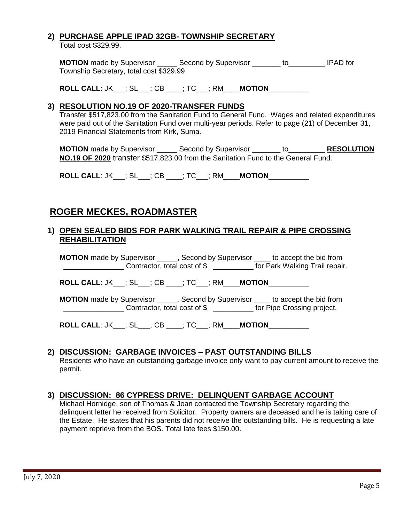# **2) PURCHASE APPLE IPAD 32GB- TOWNSHIP SECRETARY**

Total cost \$329.99.

**MOTION** made by Supervisor **Second by Supervisor** to **IPAD** for Township Secretary, total cost \$329.99

**ROLL CALL**: JK\_\_\_; SL\_\_\_; CB \_\_\_\_; TC\_\_\_; RM\_\_\_\_**MOTION**\_\_\_\_\_\_\_\_\_\_

#### **3) RESOLUTION NO.19 OF 2020-TRANSFER FUNDS**

Transfer \$517,823.00 from the Sanitation Fund to General Fund. Wages and related expenditures were paid out of the Sanitation Fund over multi-year periods. Refer to page (21) of December 31, 2019 Financial Statements from Kirk, Suma.

**MOTION** made by Supervisor \_\_\_\_\_ Second by Supervisor \_\_\_\_\_\_\_ to\_\_\_\_\_\_\_\_\_ **RESOLUTION NO.19 OF 2020** transfer \$517,823.00 from the Sanitation Fund to the General Fund.

**ROLL CALL**: JK\_\_\_; SL\_\_\_; CB \_\_\_\_; TC\_\_\_; RM\_\_\_\_**MOTION**\_\_\_\_\_\_\_\_\_\_

# **ROGER MECKES, ROADMASTER**

#### **1) OPEN SEALED BIDS FOR PARK WALKING TRAIL REPAIR & PIPE CROSSING REHABILITATION**

**MOTION** made by Supervisor \_\_\_\_\_, Second by Supervisor \_\_\_\_ to accept the bid from **EXECUTE:** Contractor, total cost of \$ \_\_\_\_\_\_\_\_\_\_\_ for Park Walking Trail repair.

**ROLL CALL**: JK\_\_\_; SL\_\_\_; CB \_\_\_\_; TC\_\_\_; RM\_\_\_\_**MOTION**\_\_\_\_\_\_\_\_\_\_

**MOTION** made by Supervisor \_\_\_\_\_, Second by Supervisor \_\_\_\_ to accept the bid from \_\_\_\_\_\_\_\_\_\_\_\_\_\_\_ Contractor, total cost of \$ \_\_\_\_\_\_\_\_\_\_ for Pipe Crossing project.

**ROLL CALL**: JK\_\_\_; SL\_\_\_; CB \_\_\_\_; TC\_\_\_; RM\_\_\_\_**MOTION**\_\_\_\_\_\_\_\_\_\_

## **2) DISCUSSION: GARBAGE INVOICES – PAST OUTSTANDING BILLS**

Residents who have an outstanding garbage invoice only want to pay current amount to receive the permit.

## **3) DISCUSSION: 86 CYPRESS DRIVE: DELINQUENT GARBAGE ACCOUNT**

Michael Hornidge, son of Thomas & Joan contacted the Township Secretary regarding the delinquent letter he received from Solicitor. Property owners are deceased and he is taking care of the Estate. He states that his parents did not receive the outstanding bills. He is requesting a late payment reprieve from the BOS. Total late fees \$150.00.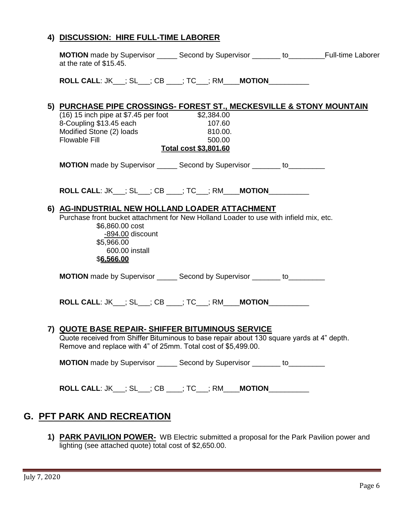### **4) DISCUSSION: HIRE FULL-TIME LABORER**

| <b>MOTION</b> made by Supervisor _______ Second by Supervisor ________ to__________Full-time Laborer<br>at the rate of \$15.45.                                                                                                                    |                                                      |  |
|----------------------------------------------------------------------------------------------------------------------------------------------------------------------------------------------------------------------------------------------------|------------------------------------------------------|--|
| <b>ROLL CALL: JK__; SL__; CB ___; TC__; RM___MOTION_________</b>                                                                                                                                                                                   |                                                      |  |
| 5) PURCHASE PIPE CROSSINGS- FOREST ST., MECKESVILLE & STONY MOUNTAIN<br>$(16)$ 15 inch pipe at \$7.45 per foot \$2,384.00<br>8-Coupling \$13.45 each<br>Modified Stone (2) loads<br><b>Flowable Fill</b>                                           | 107.60<br>810.00.<br>500.00<br>Total cost \$3,801.60 |  |
| <b>MOTION</b> made by Supervisor _______ Second by Supervisor ________ to___________                                                                                                                                                               |                                                      |  |
| <b>ROLL CALL: JK__; SL__; CB ___; TC__; RM___MOTION_________</b><br>6) AG-INDUSTRIAL NEW HOLLAND LOADER ATTACHMENT<br>Purchase front bucket attachment for New Holland Loader to use with infield mix, etc.<br>\$6,860.00 cost<br>-894.00 discount |                                                      |  |
| \$5,966.00<br>600.00 install<br>\$6,566.00<br><b>MOTION</b> made by Supervisor _______ Second by Supervisor ________ to___________                                                                                                                 |                                                      |  |
| <b>ROLL CALL: JK__; SL__; CB ___; TC__; RM___MOTION__________</b>                                                                                                                                                                                  |                                                      |  |
| <u>7) QUOTE BASE REPAIR- SHIFFER BITUMINOUS SERVICE</u><br>Quote received from Shiffer Bituminous to base repair about 130 square yards at 4" depth.<br>Remove and replace with 4" of 25mm. Total cost of \$5,499.00.                              |                                                      |  |
| <b>MOTION</b> made by Supervisor _______ Second by Supervisor ________ to___________                                                                                                                                                               |                                                      |  |
| <b>ROLL CALL: JK___; SL___; CB ____; TC___; RM____MOTION___________</b>                                                                                                                                                                            |                                                      |  |

# **G. PFT PARK AND RECREATION**

**1) PARK PAVILION POWER-** WB Electric submitted a proposal for the Park Pavilion power and lighting (see attached quote) total cost of \$2,650.00.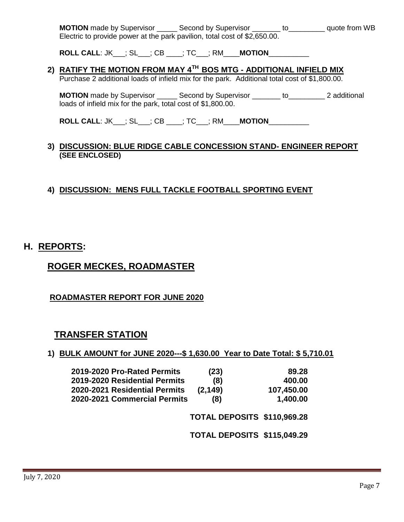**MOTION** made by Supervisor \_\_\_\_\_ Second by Supervisor \_\_\_\_\_\_\_ to\_\_\_\_\_\_\_\_\_ quote from WB Electric to provide power at the park pavilion, total cost of \$2,650.00.

**ROLL CALL**: JK\_\_\_; SL\_\_\_; CB \_\_\_\_; TC\_\_\_; RM\_\_\_\_**MOTION**\_\_\_\_\_\_\_\_\_\_

# **2) RATIFY THE MOTION FROM MAY 4TH BOS MTG - ADDITIONAL INFIELD MIX**

Purchase 2 additional loads of infield mix for the park. Additional total cost of \$1,800.00.

**MOTION** made by Supervisor **Second by Supervisor** to **z** additional loads of infield mix for the park, total cost of \$1,800.00.

**ROLL CALL**: JK\_\_\_; SL\_\_\_; CB \_\_\_\_; TC\_\_\_; RM\_\_\_\_**MOTION**\_\_\_\_\_\_\_\_\_\_

#### **3) DISCUSSION: BLUE RIDGE CABLE CONCESSION STAND- ENGINEER REPORT (SEE ENCLOSED)**

## **4) DISCUSSION: MENS FULL TACKLE FOOTBALL SPORTING EVENT**

# **H. REPORTS:**

# **ROGER MECKES, ROADMASTER**

## **ROADMASTER REPORT FOR JUNE 2020**

# **TRANSFER STATION**

| 1) BULK AMOUNT for JUNE 2020--- \$1,630.00 Year to Date Total: \$5,710.01 |  |  |
|---------------------------------------------------------------------------|--|--|
|                                                                           |  |  |

| (23)     | 89.28                                                              |
|----------|--------------------------------------------------------------------|
| (8)      | 400.00                                                             |
| (2, 149) | 107,450.00                                                         |
| (8)      | 1,400.00                                                           |
|          |                                                                    |
|          | 2020-2021 Commercial Permits<br><b>TOTAL DEPOSITS \$110,969.28</b> |

**TOTAL DEPOSITS \$115,049.29**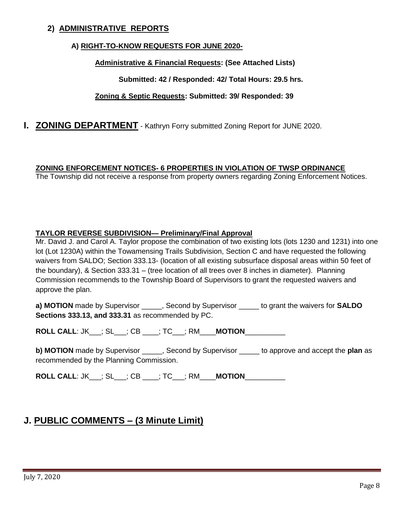## **2) ADMINISTRATIVE REPORTS**

#### **A) RIGHT-TO-KNOW REQUESTS FOR JUNE 2020-**

#### **Administrative & Financial Requests: (See Attached Lists)**

#### **Submitted: 42 / Responded: 42/ Total Hours: 29.5 hrs.**

#### **Zoning & Septic Requests: Submitted: 39/ Responded: 39**

### **I. ZONING DEPARTMENT** - Kathryn Forry submitted Zoning Report for JUNE 2020.

#### **ZONING ENFORCEMENT NOTICES- 6 PROPERTIES IN VIOLATION OF TWSP ORDINANCE**

The Township did not receive a response from property owners regarding Zoning Enforcement Notices.

#### **TAYLOR REVERSE SUBDIVISION— Preliminary/Final Approval**

Mr. David J. and Carol A. Taylor propose the combination of two existing lots (lots 1230 and 1231) into one lot (Lot 1230A) within the Towamensing Trails Subdivision, Section C and have requested the following waivers from SALDO; Section 333.13- (location of all existing subsurface disposal areas within 50 feet of the boundary), & Section 333.31 – (tree location of all trees over 8 inches in diameter). Planning Commission recommends to the Township Board of Supervisors to grant the requested waivers and approve the plan.

**a) MOTION** made by Supervisor \_\_\_\_\_, Second by Supervisor \_\_\_\_\_ to grant the waivers for **SALDO Sections 333.13, and 333.31** as recommended by PC.

**ROLL CALL**: JK\_\_\_; SL\_\_\_; CB \_\_\_\_; TC\_\_\_; RM\_\_\_\_**MOTION**\_\_\_\_\_\_\_\_\_\_

**b) MOTION** made by Supervisor \_\_\_\_\_, Second by Supervisor \_\_\_\_\_ to approve and accept the **plan** as recommended by the Planning Commission.

**ROLL CALL**: JK\_\_\_; SL\_\_\_; CB \_\_\_\_; TC\_\_\_; RM\_\_\_\_**MOTION**\_\_\_\_\_\_\_\_\_\_

# **J. PUBLIC COMMENTS – (3 Minute Limit)**